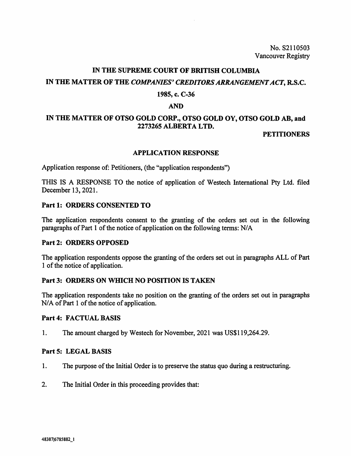No. 82110503 Vancouver Registry

# **IN THE SUPREME COURT OF BRITISH COLUMBIA IN THE MATTER OF THE** *COMPANIES' CREDITORS ARRANGEMENT ACT,* **R.S.C.**

## **1985, c. C-36**

### **AND**

# **IN THE MATTER OF OTSO GOLD CORP., OTSO GOLD OY, OTSO GOLD AB, and 2273265 ALBERTA LTD.**

## **PETITIONERS**

#### **APPLICATION RESPONSE**

Application response of: Petitioners, (the "application respondents")

THIS IS A RESPONSE TO the notice of application of Westech International Pty Ltd. filed December 13, 2021.

## **Part 1: ORDERS CONSENTED TO**

The application respondents consent to the granting of the orders set out in the following paragraphs of Part 1 of the notice of application on the following terms: N/A

## **Part 2: ORDERS OPPOSED**

The application respondents oppose the granting of the orders set out in paragraphs ALL of Part 1 of the notice of application.

## **Part 3: ORDERS ON WHICH NO POSITION IS TAKEN**

The application respondents take no position on the granting of the orders set out in paragraphs N/A of Part 1 of the notice of application.

## **Part 4: FACTUAL BASIS**

I. The amount charged by Westech for November, 2021 was US\$119,264.29.

## **Part 5: LEGAL BASIS**

- 1. The purpose of the Initial Order is to preserve the status quo during a restructuring.
- 2. The Initial Order in this proceeding provides that: